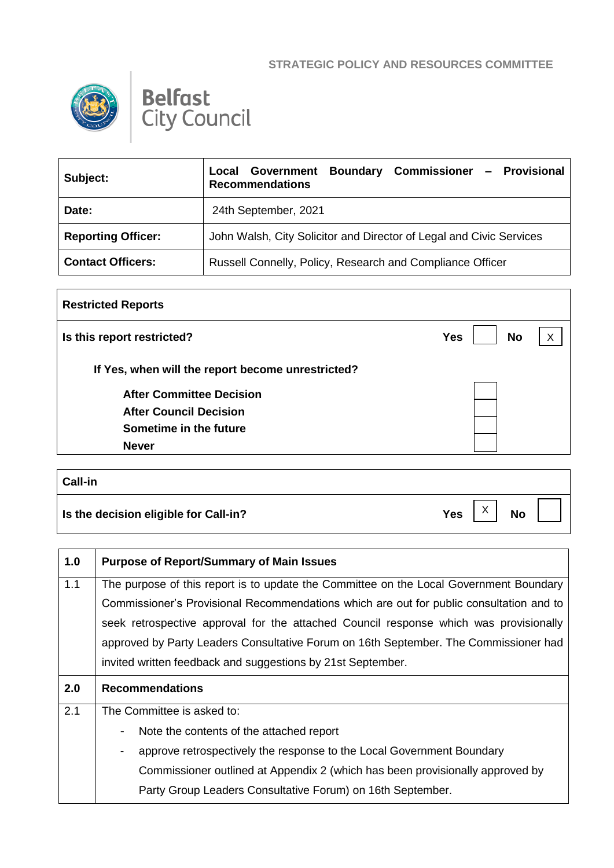## **STRATEGIC POLICY AND RESOURCES COMMITTEE**





| Subject:                  | Government Boundary Commissioner - Provisional<br>Local<br><b>Recommendations</b> |
|---------------------------|-----------------------------------------------------------------------------------|
| Date:                     | 24th September, 2021                                                              |
| <b>Reporting Officer:</b> | John Walsh, City Solicitor and Director of Legal and Civic Services               |
| <b>Contact Officers:</b>  | Russell Connelly, Policy, Research and Compliance Officer                         |

| <b>Restricted Reports</b>                         |                         |   |
|---------------------------------------------------|-------------------------|---|
| Is this report restricted?                        | <b>No</b><br><b>Yes</b> | X |
| If Yes, when will the report become unrestricted? |                         |   |
| <b>After Committee Decision</b>                   |                         |   |
| <b>After Council Decision</b>                     |                         |   |
| Sometime in the future                            |                         |   |
| <b>Never</b>                                      |                         |   |

| <b>Call-in</b>                        |     |                           |           |  |
|---------------------------------------|-----|---------------------------|-----------|--|
| Is the decision eligible for Call-in? | Yes | $\checkmark$<br>$\lambda$ | <b>No</b> |  |

| 1.0 | <b>Purpose of Report/Summary of Main Issues</b>                                                   |  |
|-----|---------------------------------------------------------------------------------------------------|--|
| 1.1 | The purpose of this report is to update the Committee on the Local Government Boundary            |  |
|     | Commissioner's Provisional Recommendations which are out for public consultation and to           |  |
|     | seek retrospective approval for the attached Council response which was provisionally             |  |
|     | approved by Party Leaders Consultative Forum on 16th September. The Commissioner had              |  |
|     | invited written feedback and suggestions by 21st September.                                       |  |
|     |                                                                                                   |  |
| 2.0 | <b>Recommendations</b>                                                                            |  |
| 2.1 | The Committee is asked to:                                                                        |  |
|     | Note the contents of the attached report<br>$\overline{\phantom{a}}$                              |  |
|     | approve retrospectively the response to the Local Government Boundary<br>$\overline{\phantom{a}}$ |  |
|     | Commissioner outlined at Appendix 2 (which has been provisionally approved by                     |  |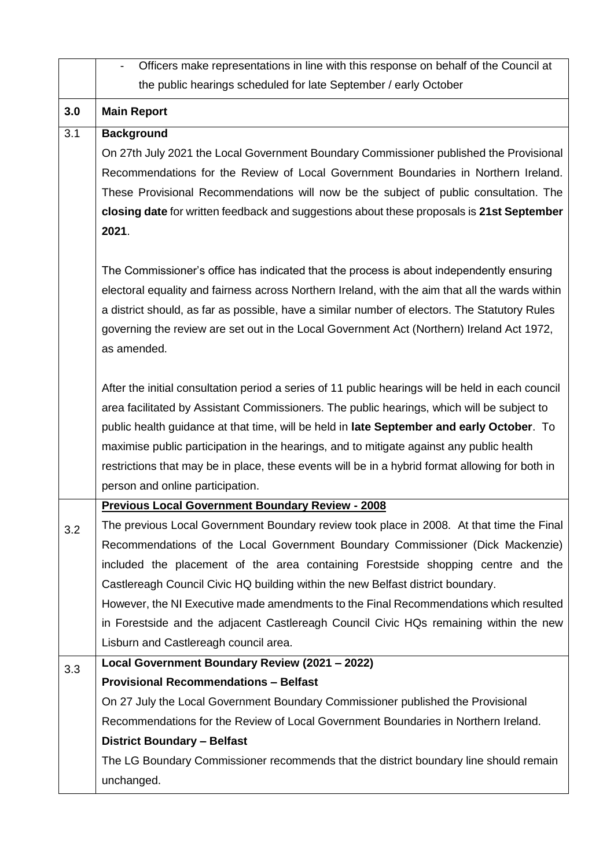|     | Officers make representations in line with this response on behalf of the Council at              |
|-----|---------------------------------------------------------------------------------------------------|
|     | the public hearings scheduled for late September / early October                                  |
| 3.0 | <b>Main Report</b>                                                                                |
| 3.1 | <b>Background</b>                                                                                 |
|     | On 27th July 2021 the Local Government Boundary Commissioner published the Provisional            |
|     | Recommendations for the Review of Local Government Boundaries in Northern Ireland.                |
|     | These Provisional Recommendations will now be the subject of public consultation. The             |
|     | closing date for written feedback and suggestions about these proposals is 21st September         |
|     | 2021.                                                                                             |
|     | The Commissioner's office has indicated that the process is about independently ensuring          |
|     | electoral equality and fairness across Northern Ireland, with the aim that all the wards within   |
|     | a district should, as far as possible, have a similar number of electors. The Statutory Rules     |
|     | governing the review are set out in the Local Government Act (Northern) Ireland Act 1972,         |
|     | as amended.                                                                                       |
|     | After the initial consultation period a series of 11 public hearings will be held in each council |
|     | area facilitated by Assistant Commissioners. The public hearings, which will be subject to        |
|     | public health guidance at that time, will be held in late September and early October. To         |
|     | maximise public participation in the hearings, and to mitigate against any public health          |
|     | restrictions that may be in place, these events will be in a hybrid format allowing for both in   |
|     | person and online participation.                                                                  |
|     | <b>Previous Local Government Boundary Review - 2008</b>                                           |
| 3.2 | The previous Local Government Boundary review took place in 2008. At that time the Final          |
|     | Recommendations of the Local Government Boundary Commissioner (Dick Mackenzie)                    |
|     | included the placement of the area containing Forestside shopping centre and the                  |
|     | Castlereagh Council Civic HQ building within the new Belfast district boundary.                   |
|     | However, the NI Executive made amendments to the Final Recommendations which resulted             |
|     | in Forestside and the adjacent Castlereagh Council Civic HQs remaining within the new             |
|     | Lisburn and Castlereagh council area.                                                             |
| 3.3 | Local Government Boundary Review (2021 - 2022)                                                    |
|     | <b>Provisional Recommendations - Belfast</b>                                                      |
|     | On 27 July the Local Government Boundary Commissioner published the Provisional                   |
|     | Recommendations for the Review of Local Government Boundaries in Northern Ireland.                |
|     | <b>District Boundary - Belfast</b>                                                                |
|     | The LG Boundary Commissioner recommends that the district boundary line should remain             |
|     | unchanged.                                                                                        |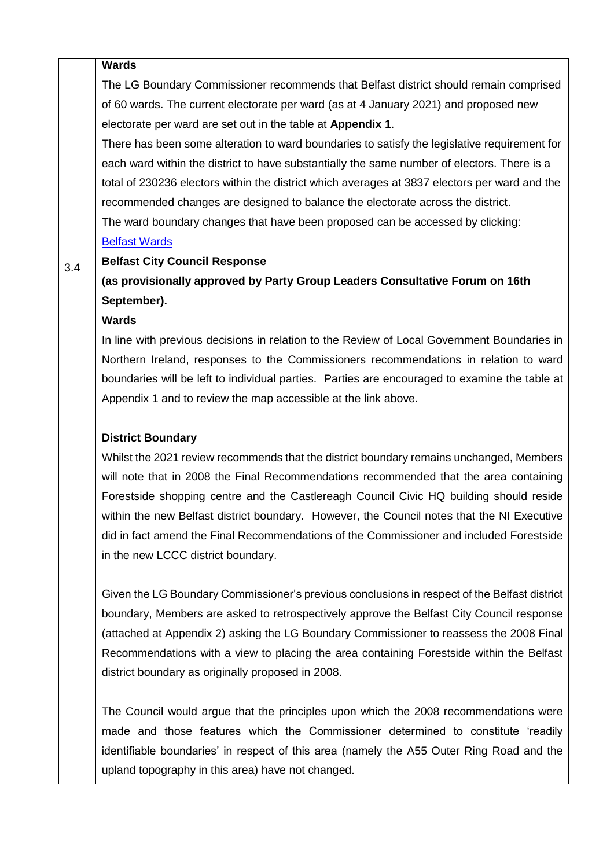|     | <b>Wards</b>                                                                                  |
|-----|-----------------------------------------------------------------------------------------------|
|     | The LG Boundary Commissioner recommends that Belfast district should remain comprised         |
|     | of 60 wards. The current electorate per ward (as at 4 January 2021) and proposed new          |
|     | electorate per ward are set out in the table at Appendix 1.                                   |
|     | There has been some alteration to ward boundaries to satisfy the legislative requirement for  |
|     | each ward within the district to have substantially the same number of electors. There is a   |
|     |                                                                                               |
|     | total of 230236 electors within the district which averages at 3837 electors per ward and the |
|     | recommended changes are designed to balance the electorate across the district.               |
|     | The ward boundary changes that have been proposed can be accessed by clicking:                |
|     | <b>Belfast Wards</b>                                                                          |
| 3.4 | <b>Belfast City Council Response</b>                                                          |
|     | (as provisionally approved by Party Group Leaders Consultative Forum on 16th                  |
|     | September).                                                                                   |
|     | <b>Wards</b>                                                                                  |
|     | In line with previous decisions in relation to the Review of Local Government Boundaries in   |
|     | Northern Ireland, responses to the Commissioners recommendations in relation to ward          |
|     | boundaries will be left to individual parties. Parties are encouraged to examine the table at |
|     | Appendix 1 and to review the map accessible at the link above.                                |
|     | <b>District Boundary</b>                                                                      |
|     | Whilst the 2021 review recommends that the district boundary remains unchanged, Members       |
|     | will note that in 2008 the Final Recommendations recommended that the area containing         |
|     | Forestside shopping centre and the Castlereagh Council Civic HQ building should reside        |
|     | within the new Belfast district boundary. However, the Council notes that the NI Executive    |
|     | did in fact amend the Final Recommendations of the Commissioner and included Forestside       |
|     | in the new LCCC district boundary.                                                            |
|     |                                                                                               |
|     | Given the LG Boundary Commissioner's previous conclusions in respect of the Belfast district  |
|     | boundary, Members are asked to retrospectively approve the Belfast City Council response      |
|     | (attached at Appendix 2) asking the LG Boundary Commissioner to reassess the 2008 Final       |
|     | Recommendations with a view to placing the area containing Forestside within the Belfast      |
|     | district boundary as originally proposed in 2008.                                             |
|     | The Council would argue that the principles upon which the 2008 recommendations were          |
|     | made and those features which the Commissioner determined to constitute 'readily              |
|     | identifiable boundaries' in respect of this area (namely the A55 Outer Ring Road and the      |
|     | upland topography in this area) have not changed.                                             |
|     |                                                                                               |